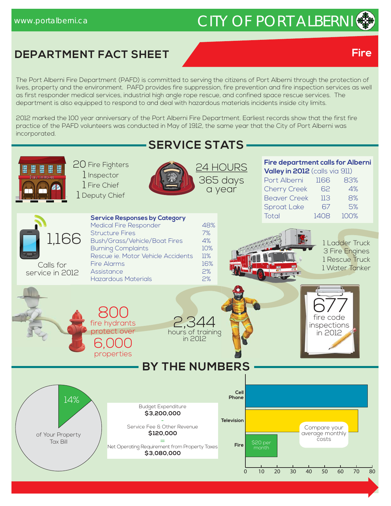# www.portalberni.ca CITY OF PORT ALBERNI

### **DEPARTMENT FACT SHEET**

The Port Alberni Fire Department (PAFD) is committed to serving the citizens of Port Alberni through the protection of lives, property and the environment. PAFD provides fire suppression, fire prevention and fire inspection services as well as first responder medical services, industrial high angle rope rescue, and confined space rescue services. The department is also equipped to respond to and deal with hazardous materials incidents inside city limits.

2012 marked the 100 year anniversary of the Port Alberni Fire Department. Earliest records show that the first fire practice of the PAFD volunteers was conducted in May of 1912, the same year that the City of Port Alberni was incorporated.